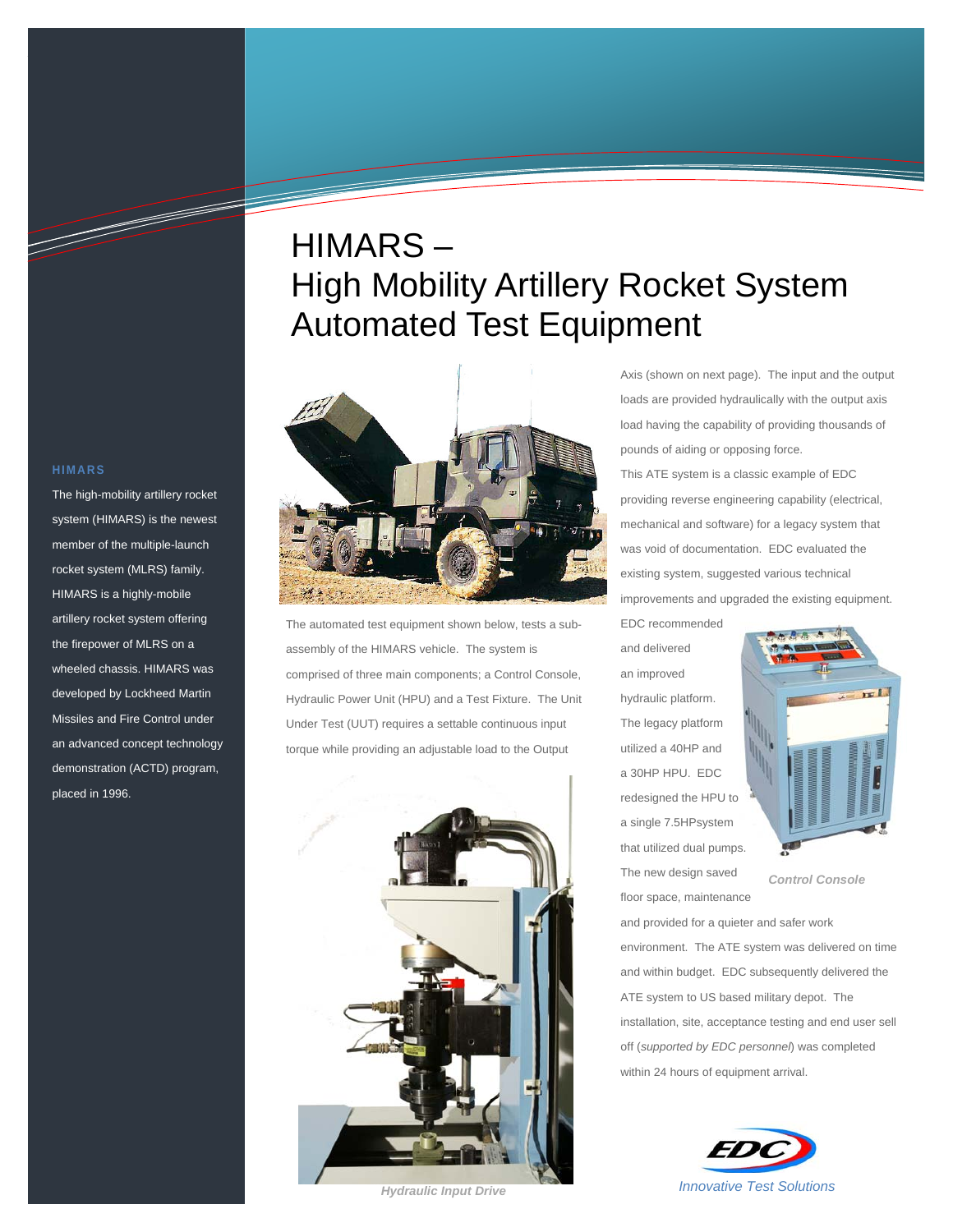# HIMARS – High Mobility Artillery Rocket System Automated Test Equipment



The automated test equipment shown below, tests a subassembly of the HIMARS vehicle. The system is comprised of three main components; a Control Console, Hydraulic Power Unit (HPU) and a Test Fixture. The Unit Under Test (UUT) requires a settable continuous input torque while providing an adjustable load to the Output



loads are provided hydraulically with the output axis load having the capability of providing thousands of pounds of aiding or opposing force. This ATE system is a classic example of EDC providing reverse engineering capability (electrical, mechanical and software) for a legacy system that was void of documentation. EDC evaluated the existing system, suggested various technical improvements and upgraded the existing equipment.

Axis (shown on next page). The input and the output

EDC recommended and delivered an improved hydraulic platform. The legacy platform utilized a 40HP and a 30HP HPU. EDC redesigned the HPU to a single 7.5HPsystem that utilized dual pumps. The new design saved floor space, maintenance



*Control Console* 

and provided for a quieter and safer work environment. The ATE system was delivered on time and within budget. EDC subsequently delivered the ATE system to US based military depot. The installation, site, acceptance testing and end user sell off (*supported by EDC personnel*) was completed within 24 hours of equipment arrival.



#### **HIMARS**

<u>Santa Contra de Carlos de Contra de Carlos de Contra de Carlos de Carlos de Carlos de Carlos de Carlos de Carlo<br>Carlos de Carlos de Carlos de Carlos de Carlos de Carlos de Carlos de Carlos de Carlos de Carlos de Carlos de</u>

The high-mobility artillery rocket system (HIMARS) is the newest member of the multiple-launch rocket system (MLRS) family. HIMARS is a highly-mobile artillery rocket system offering the firepower of MLRS on a wheeled chassis. HIMARS was developed by Lockheed Martin Missiles and Fire Control under an advanced concept technology demonstration (ACTD) program, placed in 1996.